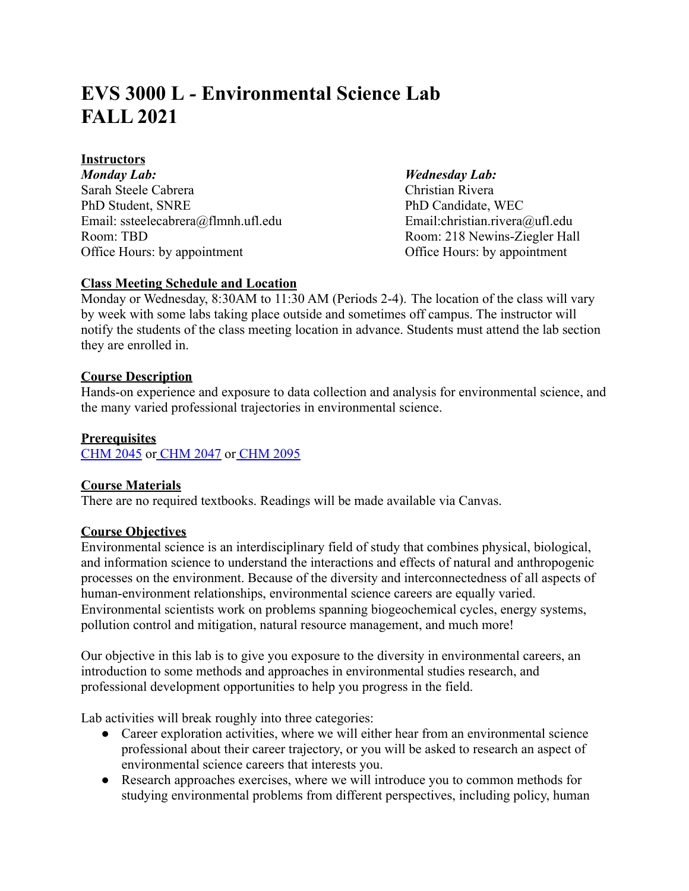# **EVS 3000 L** *-* **Environmental Science Lab FALL 2021**

# **Instructors**

*Monday Lab: Wednesday Lab:* Sarah Steele Cabrera Christian Rivera PhD Student, SNRE PhD Candidate, WEC Email: ssteelecabrera@flmnh.ufl.edu Email:christian.rivera@ufl.edu Room: TBD Room: 218 Newins-Ziegler Hall Office Hours: by appointment Office Hours: by appointment

# **Class Meeting Schedule and Location**

Monday or Wednesday, 8:30AM to 11:30 AM (Periods 2-4). The location of the class will vary by week with some labs taking place outside and sometimes off campus. The instructor will notify the students of the class meeting location in advance. Students must attend the lab section they are enrolled in.

# **Course Description**

Hands-on experience and exposure to data collection and analysis for environmental science, and the many varied professional trajectories in environmental science.

# **Prerequisites**

[CHM 2045](https://catalog.ufl.edu/search/?P=CHM%202045) or [CHM 2047](https://catalog.ufl.edu/search/?P=CHM%202047) or [CHM 2095](https://catalog.ufl.edu/search/?P=CHM%202095)

# **Course Materials**

There are no required textbooks. Readings will be made available via Canvas.

# **Course Objectives**

Environmental science is an interdisciplinary field of study that combines physical, biological, and information science to understand the interactions and effects of natural and anthropogenic processes on the environment. Because of the diversity and interconnectedness of all aspects of human-environment relationships, environmental science careers are equally varied. Environmental scientists work on problems spanning biogeochemical cycles, energy systems, pollution control and mitigation, natural resource management, and much more!

Our objective in this lab is to give you exposure to the diversity in environmental careers, an introduction to some methods and approaches in environmental studies research, and professional development opportunities to help you progress in the field.

Lab activities will break roughly into three categories:

- Career exploration activities, where we will either hear from an environmental science professional about their career trajectory, or you will be asked to research an aspect of environmental science careers that interests you.
- Research approaches exercises, where we will introduce you to common methods for studying environmental problems from different perspectives, including policy, human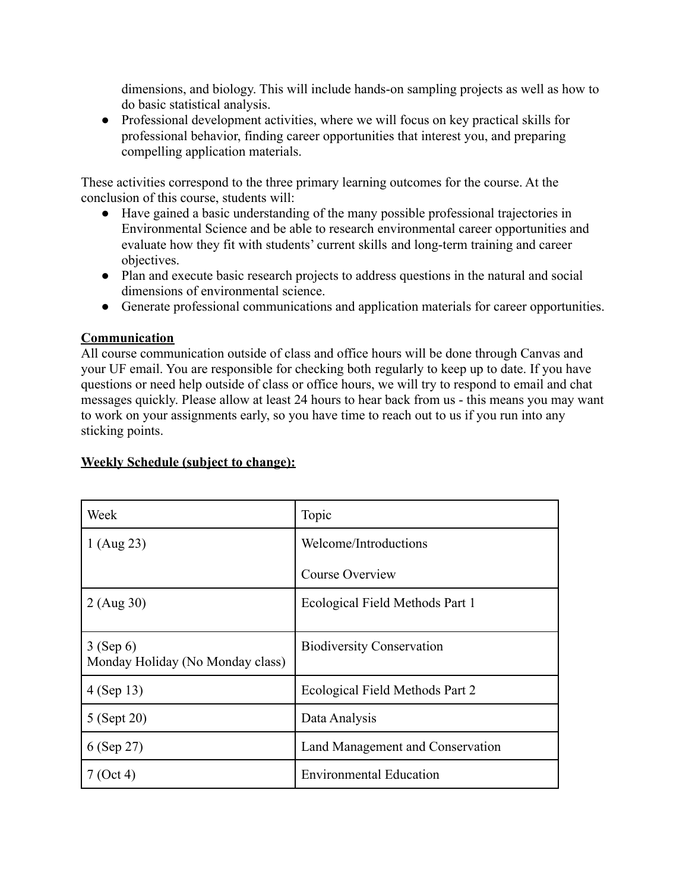dimensions, and biology. This will include hands-on sampling projects as well as how to do basic statistical analysis.

• Professional development activities, where we will focus on key practical skills for professional behavior, finding career opportunities that interest you, and preparing compelling application materials.

These activities correspond to the three primary learning outcomes for the course. At the conclusion of this course, students will:

- Have gained a basic understanding of the many possible professional trajectories in Environmental Science and be able to research environmental career opportunities and evaluate how they fit with students' current skills and long-term training and career objectives.
- Plan and execute basic research projects to address questions in the natural and social dimensions of environmental science.
- Generate professional communications and application materials for career opportunities.

# **Communication**

All course communication outside of class and office hours will be done through Canvas and your UF email. You are responsible for checking both regularly to keep up to date. If you have questions or need help outside of class or office hours, we will try to respond to email and chat messages quickly. Please allow at least 24 hours to hear back from us - this means you may want to work on your assignments early, so you have time to reach out to us if you run into any sticking points.

# **Weekly Schedule (subject to change):**

| Week                                            | Topic                            |  |
|-------------------------------------------------|----------------------------------|--|
| 1 (Aug 23)                                      | Welcome/Introductions            |  |
|                                                 | Course Overview                  |  |
| 2 (Aug 30)                                      | Ecological Field Methods Part 1  |  |
| $3$ (Sep 6)<br>Monday Holiday (No Monday class) | <b>Biodiversity Conservation</b> |  |
| 4 (Sep 13)                                      | Ecological Field Methods Part 2  |  |
| 5 (Sept 20)                                     | Data Analysis                    |  |
| 6 (Sep 27)                                      | Land Management and Conservation |  |
| 7 (Oct 4)                                       | <b>Environmental Education</b>   |  |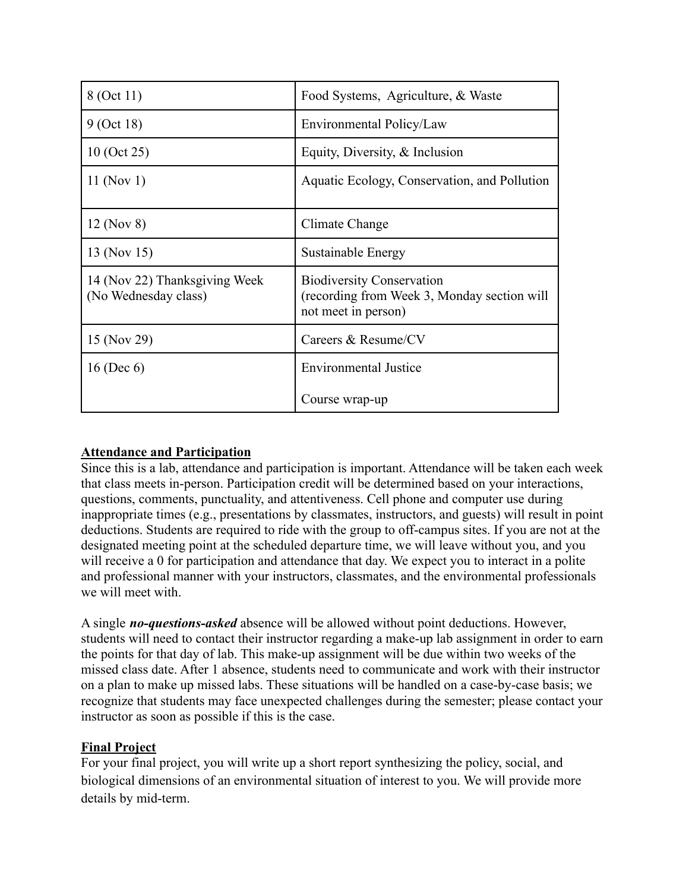| 8 (Oct 11)                                            | Food Systems, Agriculture, & Waste                                                                     |  |  |
|-------------------------------------------------------|--------------------------------------------------------------------------------------------------------|--|--|
| 9 (Oct 18)                                            | Environmental Policy/Law                                                                               |  |  |
| $10$ (Oct 25)                                         | Equity, Diversity, $\&$ Inclusion                                                                      |  |  |
| 11 (Nov 1)                                            | Aquatic Ecology, Conservation, and Pollution                                                           |  |  |
| 12 (Nov 8)                                            | Climate Change                                                                                         |  |  |
| 13 (Nov 15)                                           | Sustainable Energy                                                                                     |  |  |
| 14 (Nov 22) Thanksgiving Week<br>(No Wednesday class) | <b>Biodiversity Conservation</b><br>(recording from Week 3, Monday section will<br>not meet in person) |  |  |
| 15 (Nov 29)                                           | Careers & Resume/CV                                                                                    |  |  |
| $16$ (Dec 6)                                          | <b>Environmental Justice</b>                                                                           |  |  |
|                                                       | Course wrap-up                                                                                         |  |  |

# **Attendance and Participation**

Since this is a lab, attendance and participation is important. Attendance will be taken each week that class meets in-person. Participation credit will be determined based on your interactions, questions, comments, punctuality, and attentiveness. Cell phone and computer use during inappropriate times (e.g., presentations by classmates, instructors, and guests) will result in point deductions. Students are required to ride with the group to off-campus sites. If you are not at the designated meeting point at the scheduled departure time, we will leave without you, and you will receive a 0 for participation and attendance that day. We expect you to interact in a polite and professional manner with your instructors, classmates, and the environmental professionals we will meet with.

A single *no-questions-asked* absence will be allowed without point deductions. However, students will need to contact their instructor regarding a make-up lab assignment in order to earn the points for that day of lab. This make-up assignment will be due within two weeks of the missed class date. After 1 absence, students need to communicate and work with their instructor on a plan to make up missed labs. These situations will be handled on a case-by-case basis; we recognize that students may face unexpected challenges during the semester; please contact your instructor as soon as possible if this is the case.

# **Final Project**

For your final project, you will write up a short report synthesizing the policy, social, and biological dimensions of an environmental situation of interest to you. We will provide more details by mid-term.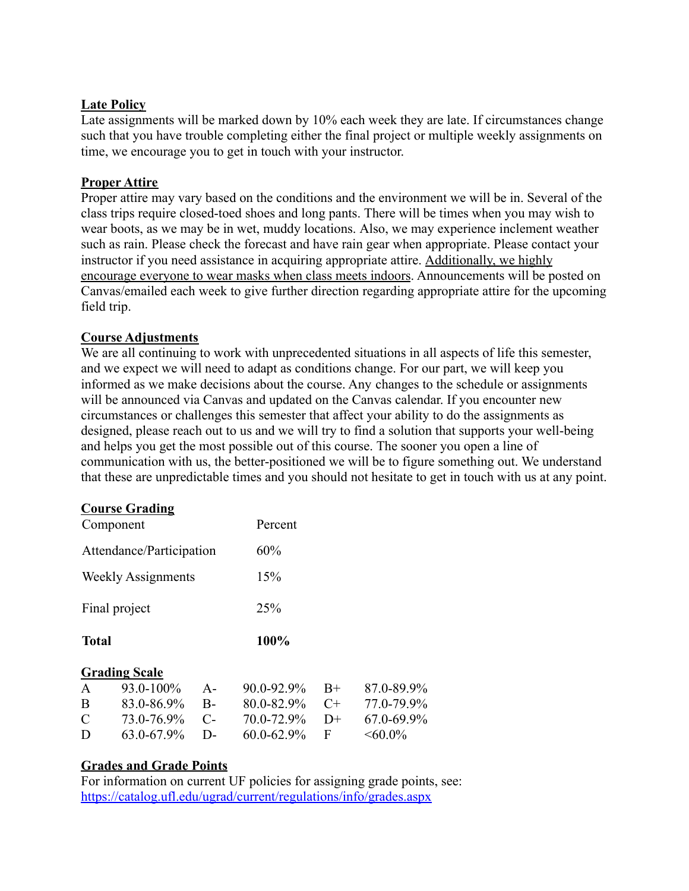#### **Late Policy**

Late assignments will be marked down by 10% each week they are late. If circumstances change such that you have trouble completing either the final project or multiple weekly assignments on time, we encourage you to get in touch with your instructor.

#### **Proper Attire**

Proper attire may vary based on the conditions and the environment we will be in. Several of the class trips require closed-toed shoes and long pants. There will be times when you may wish to wear boots, as we may be in wet, muddy locations. Also, we may experience inclement weather such as rain. Please check the forecast and have rain gear when appropriate. Please contact your instructor if you need assistance in acquiring appropriate attire. Additionally, we highly encourage everyone to wear masks when class meets indoors. Announcements will be posted on Canvas/emailed each week to give further direction regarding appropriate attire for the upcoming field trip.

#### **Course Adjustments**

We are all continuing to work with unprecedented situations in all aspects of life this semester, and we expect we will need to adapt as conditions change. For our part, we will keep you informed as we make decisions about the course. Any changes to the schedule or assignments will be announced via Canvas and updated on the Canvas calendar. If you encounter new circumstances or challenges this semester that affect your ability to do the assignments as designed, please reach out to us and we will try to find a solution that supports your well-being and helps you get the most possible out of this course. The sooner you open a line of communication with us, the better-positioned we will be to figure something out. We understand that these are unpredictable times and you should not hesitate to get in touch with us at any point.

# **Course Grading**

| Component     |                           |       | Percent         |      |            |
|---------------|---------------------------|-------|-----------------|------|------------|
|               | Attendance/Participation  |       | 60%             |      |            |
|               | <b>Weekly Assignments</b> |       | 15%             |      |            |
|               | Final project             |       | 25%             |      |            |
| <b>Total</b>  |                           |       | 100%            |      |            |
|               | <b>Grading Scale</b>      |       |                 |      |            |
| A             | 93.0-100%                 | $A -$ | 90.0-92.9%      | $B+$ | 87.0-89.9% |
| B             | 83.0-86.9%                | $B -$ | 80.0-82.9%      | $C+$ | 77.0-79.9% |
| $\mathcal{C}$ | 73.0-76.9%                | $C-$  | 70.0-72.9%      | $D+$ | 67.0-69.9% |
| D             | 63.0-67.9%                | D-    | $60.0 - 62.9\%$ | F    | $<60.0\%$  |

#### **Grades and Grade Points**

For information on current UF policies for assigning grade points, see: <https://catalog.ufl.edu/ugrad/current/regulations/info/grades.aspx>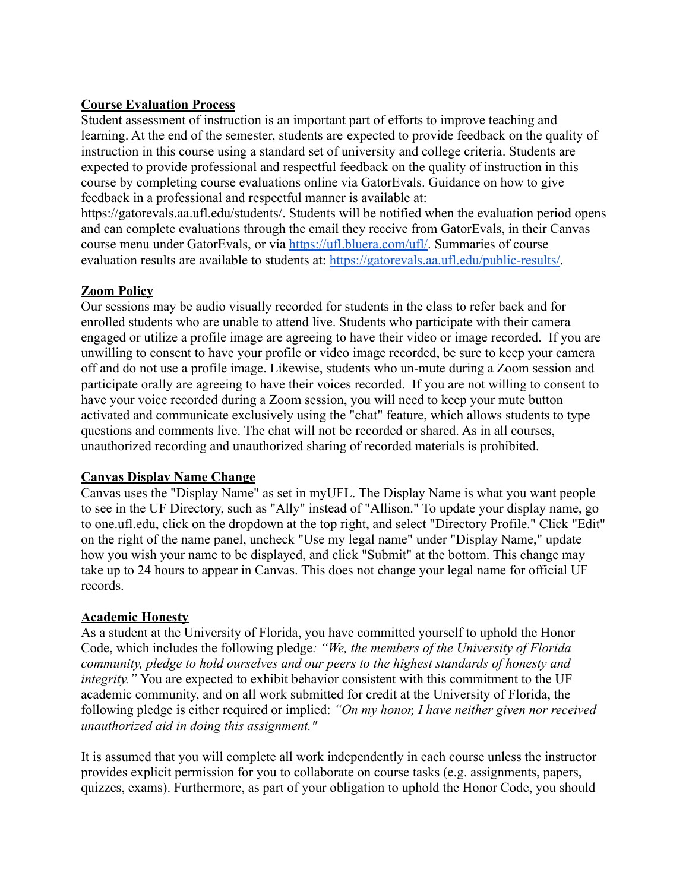### **Course Evaluation Process**

Student assessment of instruction is an important part of efforts to improve teaching and learning. At the end of the semester, students are expected to provide feedback on the quality of instruction in this course using a standard set of university and college criteria. Students are expected to provide professional and respectful feedback on the quality of instruction in this course by completing course evaluations online via GatorEvals. Guidance on how to give feedback in a professional and respectful manner is available at:

https://gatorevals.aa.ufl.edu/students/. Students will be notified when the evaluation period opens and can complete evaluations through the email they receive from GatorEvals, in their Canvas course menu under GatorEvals, or via <https://ufl.bluera.com/ufl/>. Summaries of course evaluation results are available to students at: [https://gatorevals.aa.ufl.edu/public-results/.](https://gatorevals.aa.ufl.edu/public-results/)

# **Zoom Policy**

Our sessions may be audio visually recorded for students in the class to refer back and for enrolled students who are unable to attend live. Students who participate with their camera engaged or utilize a profile image are agreeing to have their video or image recorded. If you are unwilling to consent to have your profile or video image recorded, be sure to keep your camera off and do not use a profile image. Likewise, students who un-mute during a Zoom session and participate orally are agreeing to have their voices recorded. If you are not willing to consent to have your voice recorded during a Zoom session, you will need to keep your mute button activated and communicate exclusively using the "chat" feature, which allows students to type questions and comments live. The chat will not be recorded or shared. As in all courses, unauthorized recording and unauthorized sharing of recorded materials is prohibited.

#### **Canvas Display Name Change**

Canvas uses the "Display Name" as set in myUFL. The Display Name is what you want people to see in the UF Directory, such as "Ally" instead of "Allison." To update your display name, go to one.ufl.edu, click on the dropdown at the top right, and select "Directory Profile." Click "Edit" on the right of the name panel, uncheck "Use my legal name" under "Display Name," update how you wish your name to be displayed, and click "Submit" at the bottom. This change may take up to 24 hours to appear in Canvas. This does not change your legal name for official UF records.

# **Academic Honesty**

As a student at the University of Florida, you have committed yourself to uphold the Honor Code, which includes the following pledge*: "We, the members of the University of Florida community, pledge to hold ourselves and our peers to the highest standards of honesty and integrity."* You are expected to exhibit behavior consistent with this commitment to the UF academic community, and on all work submitted for credit at the University of Florida, the following pledge is either required or implied: *"On my honor, I have neither given nor received unauthorized aid in doing this assignment."*

It is assumed that you will complete all work independently in each course unless the instructor provides explicit permission for you to collaborate on course tasks (e.g. assignments, papers, quizzes, exams). Furthermore, as part of your obligation to uphold the Honor Code, you should